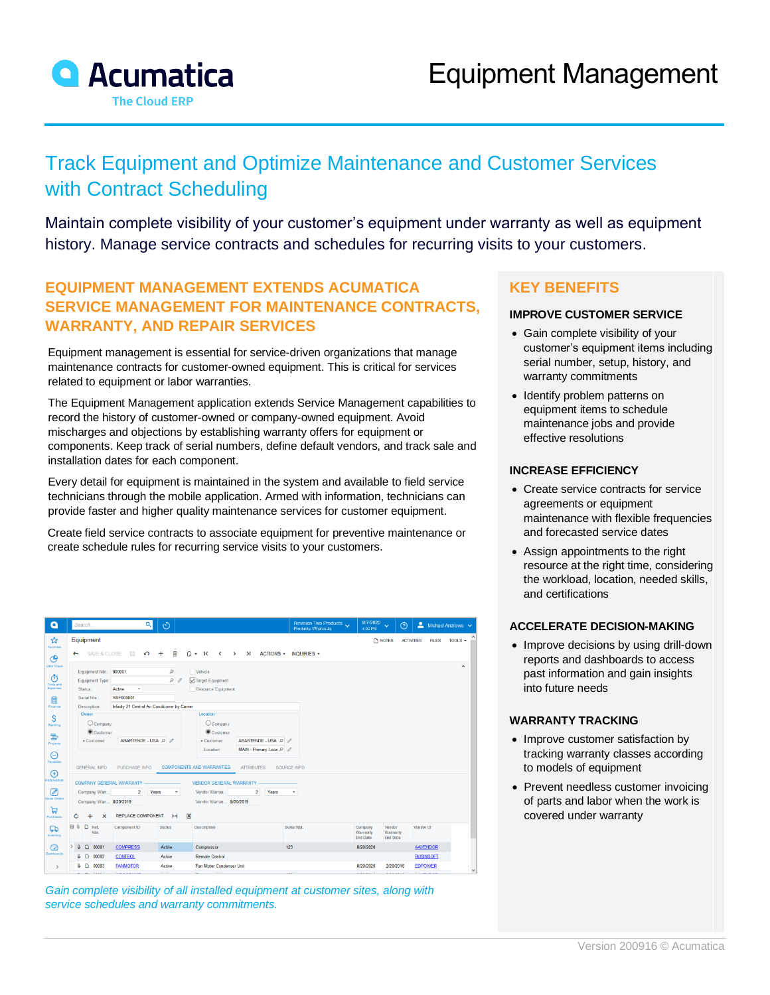

# Track Equipment and Optimize Maintenance and Customer Services with Contract Scheduling

Maintain complete visibility of your customer's equipment under warranty as well as equipment history. Manage service contracts and schedules for recurring visits to your customers.

### **EQUIPMENT MANAGEMENT EXTENDS ACUMATICA SERVICE MANAGEMENT FOR MAINTENANCE CONTRACTS, WARRANTY, AND REPAIR SERVICES**

Equipment management is essential for service-driven organizations that manage maintenance contracts for customer-owned equipment. This is critical for services related to equipment or labor warranties.

The Equipment Management application extends Service Management capabilities to record the history of customer-owned or company-owned equipment. Avoid mischarges and objections by establishing warranty offers for equipment or components. Keep track of serial numbers, define default vendors, and track sale and installation dates for each component.

Every detail for equipment is maintained in the system and available to field service technicians through the mobile application. Armed with information, technicians can provide faster and higher quality maintenance services for customer equipment.

Create field service contracts to associate equipment for preventive maintenance or create schedule rules for recurring service visits to your customers.

| Search                                                                           | Q                                                 | $\circlearrowright$                                                                                      |                                                                             |                                                                                                                                                  | Revision Two Products<br>Products Wholesale   | 8/7/2020<br>$\ddotmark$<br>4:02 PM                                                                                                      | 2<br>$\odot$      | Michael Andrews $\sim$                             |                                                                              |
|----------------------------------------------------------------------------------|---------------------------------------------------|----------------------------------------------------------------------------------------------------------|-----------------------------------------------------------------------------|--------------------------------------------------------------------------------------------------------------------------------------------------|-----------------------------------------------|-----------------------------------------------------------------------------------------------------------------------------------------|-------------------|----------------------------------------------------|------------------------------------------------------------------------------|
| Equipment                                                                        |                                                   |                                                                                                          |                                                                             |                                                                                                                                                  |                                               | <b>TH NOTES</b>                                                                                                                         | <b>ACTIVITIES</b> | TOOLS $\sim$<br><b>FILES</b>                       |                                                                              |
| $\leftarrow$                                                                     | $\Box$<br>$\sim$                                  | 面                                                                                                        | $\overline{\mathbf{K}}$                                                     |                                                                                                                                                  |                                               |                                                                                                                                         |                   |                                                    |                                                                              |
|                                                                                  |                                                   | <b>Q</b>                                                                                                 |                                                                             |                                                                                                                                                  |                                               |                                                                                                                                         |                   |                                                    |                                                                              |
|                                                                                  | ٠                                                 |                                                                                                          |                                                                             |                                                                                                                                                  |                                               |                                                                                                                                         |                   |                                                    |                                                                              |
| Serial Nbr.:                                                                     | SRF000001                                         |                                                                                                          |                                                                             |                                                                                                                                                  |                                               |                                                                                                                                         |                   |                                                    |                                                                              |
| Description:                                                                     | Infinity 21 Central Air Conditioner by Carrier    |                                                                                                          |                                                                             |                                                                                                                                                  |                                               |                                                                                                                                         |                   |                                                    |                                                                              |
| Owner                                                                            |                                                   |                                                                                                          | Location<br>Company                                                         |                                                                                                                                                  |                                               |                                                                                                                                         |                   |                                                    |                                                                              |
| * Customer:                                                                      |                                                   |                                                                                                          | * Customer:                                                                 |                                                                                                                                                  |                                               |                                                                                                                                         |                   |                                                    |                                                                              |
|                                                                                  |                                                   |                                                                                                          |                                                                             |                                                                                                                                                  |                                               |                                                                                                                                         |                   |                                                    |                                                                              |
|                                                                                  |                                                   |                                                                                                          |                                                                             |                                                                                                                                                  |                                               |                                                                                                                                         |                   |                                                    |                                                                              |
| Receivables<br><b>COMPANY GENERAL WARRANTY</b><br><b>VENDOR GENERAL WARRANTY</b> |                                                   |                                                                                                          |                                                                             |                                                                                                                                                  |                                               |                                                                                                                                         |                   |                                                    |                                                                              |
|                                                                                  |                                                   | $\overline{\phantom{a}}$                                                                                 | Vendor Warran                                                               | Years<br>$2^{\circ}$                                                                                                                             |                                               |                                                                                                                                         |                   |                                                    |                                                                              |
| <b>Sales Orders</b><br>Company Warr 8/20/2019<br>Vendor Warran 8/20/2019         |                                                   |                                                                                                          |                                                                             |                                                                                                                                                  |                                               |                                                                                                                                         |                   |                                                    |                                                                              |
| $\times$<br>$\ddot{}$<br>O                                                       |                                                   | $\vdash$                                                                                                 |                                                                             |                                                                                                                                                  |                                               |                                                                                                                                         |                   |                                                    |                                                                              |
| 刷 品<br>D<br>Ref.<br>Nbr.                                                         | <b>Component ID</b>                               | <b>Status</b>                                                                                            | <b>Description</b>                                                          |                                                                                                                                                  |                                               | Company<br>Warranty<br><b>End Date</b>                                                                                                  |                   |                                                    |                                                                              |
| $\Box$<br>00001<br>a                                                             | <b>COMPRESS</b>                                   | Active                                                                                                   | Compressor                                                                  |                                                                                                                                                  |                                               | 8/20/2020                                                                                                                               |                   |                                                    |                                                                              |
| D<br>00002<br>a                                                                  | <b>CONTROL</b>                                    | Active                                                                                                   | <b>Remote Control</b>                                                       |                                                                                                                                                  |                                               |                                                                                                                                         |                   |                                                    |                                                                              |
| $0$ D<br>00003                                                                   | <b>FANMOTOR</b>                                   | Active                                                                                                   |                                                                             |                                                                                                                                                  |                                               | 8/20/2020                                                                                                                               |                   |                                                    | $\checkmark$                                                                 |
|                                                                                  | Equipment Type:<br>Status:<br><b>GENERAL INFO</b> | SAVE & CLOSE<br>Equipment Nbr.: 000001<br>Active<br>Company<br>Customer<br>PURCHASE INFO<br>Company Warr | $+$<br>$\Omega$<br>ABARTENDE - USA O<br>2 Years<br><b>REPLACE COMPONENT</b> | n -<br>Vehicle<br>Target Equipment<br>Resource Equipment<br>Customer<br>Location:<br><b>COMPONENTS AND WARRANTIES</b><br>$\overline{\mathbf{x}}$ | <b>ATTRIBUTES</b><br>Fan Motor Condenser Unit | $\langle \rangle$ > > ACTIONS + INQUIRIES +<br>ABARTENDE - USA P 2<br>MAIN - Primary Loca P<br><b>SOURCE INFO</b><br>Serial Nbr.<br>123 |                   | Vendor<br>Warranty<br><b>End Date</b><br>2/20/2018 | $\sim$<br>Vendor ID<br><b>AAVENDOR</b><br><b>BUSINSOFT</b><br><b>EDPOWER</b> |

*Gain complete visibility of all installed equipment at customer sites, along with service schedules and warranty commitments.*

### **KEY BENEFITS**

#### **IMPROVE CUSTOMER SERVICE**

- Gain complete visibility of your customer's equipment items including serial number, setup, history, and warranty commitments
- Identify problem patterns on equipment items to schedule maintenance jobs and provide effective resolutions

#### **INCREASE EFFICIENCY**

- Create service contracts for service agreements or equipment maintenance with flexible frequencies and forecasted service dates
- Assign appointments to the right resource at the right time, considering the workload, location, needed skills, and certifications

#### **ACCELERATE DECISION-MAKING**

• Improve decisions by using drill-down reports and dashboards to access past information and gain insights into future needs

#### **WARRANTY TRACKING**

- Improve customer satisfaction by tracking warranty classes according to models of equipment
- Prevent needless customer invoicing of parts and labor when the work is covered under warranty